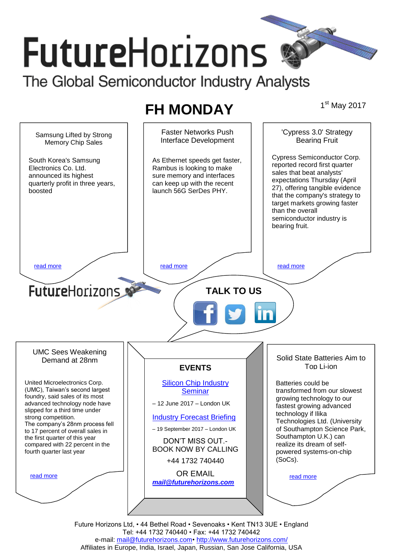# **FutureHorizons** The Global Semiconductor Industry Analysts

# **FH MONDAY**

1<sup>st</sup> May 2017



Future Horizons Ltd, • 44 Bethel Road • Sevenoaks • Kent TN13 3UE • England Tel: +44 1732 740440 • Fax: +44 1732 740442 e-mail: mail@futurehorizons.com• http://www.futurehorizons.com/ Affiliates in Europe, India, Israel, Japan, Russian, San Jose California, USA